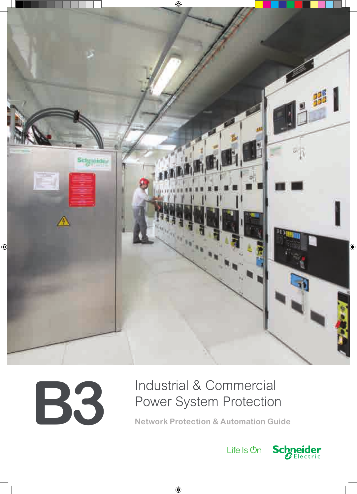



# **B3** Industrial & Commercial<br>Power System Protection Power System Protection

**Network Protection & Automation Guide**

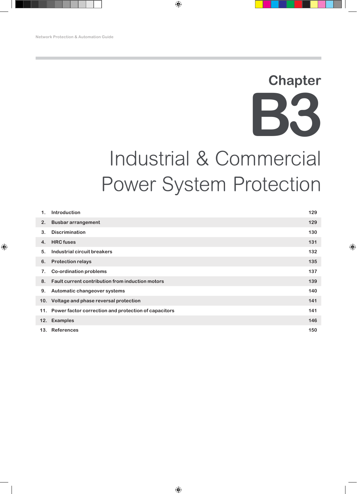# **Chapter B3**

# Industrial & Commercial Power System Protection

|    | 1. Introduction                                          | 129 |
|----|----------------------------------------------------------|-----|
|    | 2. Busbar arrangement                                    | 129 |
| 3. | <b>Discrimination</b>                                    | 130 |
| 4. | <b>HRC</b> fuses                                         | 131 |
| 5. | Industrial circuit breakers                              | 132 |
|    | 6. Protection relays                                     | 135 |
|    | 7. Co-ordination problems                                | 137 |
|    | 8. Fault current contribution from induction motors      | 139 |
|    | 9. Automatic changeover systems                          | 140 |
|    | 10. Voltage and phase reversal protection                | 141 |
|    | 11. Power factor correction and protection of capacitors | 141 |
|    | 12. Examples                                             | 146 |
|    | 13. References                                           | 150 |
|    |                                                          |     |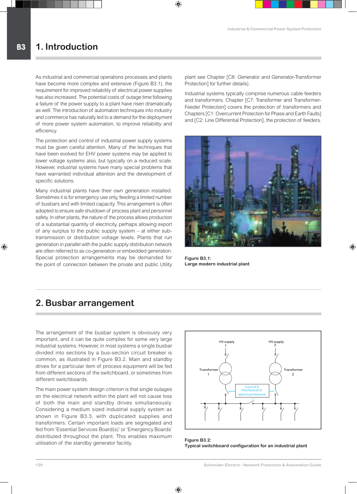As industrial and commercial operations processes and plants have become more complex and extensive (Figure B3.1), the requirement for improved reliability of electrical power supplies has also increased. The potential costs of outage time following a failure of the power supply to a plant have risen dramatically as well. The introduction of automation techniques into industry and commerce has naturally led to a demand for the deployment of more power system automation, to improve reliability and efficiency.

The protection and control of industrial power supply systems must be given careful attention. Many of the techniques that have been evolved for EHV power systems may be applied to lower voltage systems also, but typically on a reduced scale. However, industrial systems have many special problems that have warranted individual attention and the development of specific solutions.

Many industrial plants have their own generation installed. Sometimes it is for emergency use only, feeding a limited number of busbars and with limited capacity. This arrangement is often adopted to ensure safe shutdown of process plant and personnel safety. In other plants, the nature of the process allows production of a substantial quantity of electricity, perhaps allowing export of any surplus to the public supply system – at either subtransmission or distribution voltage levels. Plants that run generation in parallel with the public supply distribution network are often referred to as co-generation or embedded generation. Special protection arrangements may be demanded for the point of connection between the private and public Utility plant see Chapter [C8: Generator and Generator-Transformer Protection] for further details).

Industrial systems typically comprise numerous cable feeders and transformers. Chapter [C7: Transformer and Transformer-Feeder Protection] covers the protection of transformers and Chapters [C1: Overcurrent Protection for Phase and Earth Faults] and [C2: Line Differential Protection], the protection of feeders.



**Figure B3.1: Large modern industrial plant**

# **2. Busbar arrangement**

The arrangement of the busbar system is obviously very important, and it can be quite complex for some very large industrial systems. However, in most systems a single busbar divided into sections by a bus-section circuit breaker is common, as illustrated in Figure B3.2. Main and standby drives for a particular item of process equipment will be fed from different sections of the switchboard, or sometimes from different switchboards.

The main power system design criterion is that single outages on the electrical network within the plant will not cause loss of both the main and standby drives simultaneously. Considering a medium sized industrial supply system as shown in Figure B3.3, with duplicated supplies and transformers. Certain important loads are segregated and fed from 'Essential Services Board(s)' or 'Emergency Boards' distributed throughout the plant. This enables maximum utilisation of the standby generator facility.



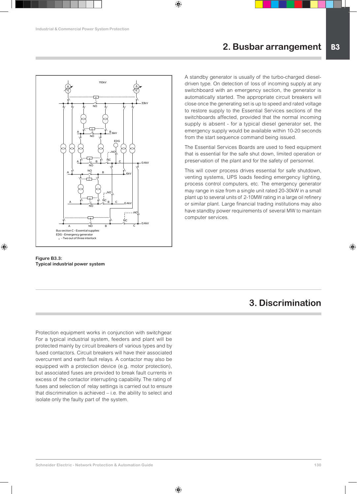

**Figure B3.3: Typical industrial power system**

A standby generator is usually of the turbo-charged dieseldriven type. On detection of loss of incoming supply at any switchboard with an emergency section, the generator is automatically started. The appropriate circuit breakers will close once the generating set is up to speed and rated voltage to restore supply to the Essential Services sections of the switchboards affected, provided that the normal incoming supply is absent - for a typical diesel generator set, the emergency supply would be available within 10-20 seconds from the start sequence command being issued.

The Essential Services Boards are used to feed equipment that is essential for the safe shut down, limited operation or preservation of the plant and for the safety of personnel.

This will cover process drives essential for safe shutdown, venting systems, UPS loads feeding emergency lighting, process control computers, etc. The emergency generator may range in size from a single unit rated 20-30kW in a small plant up to several units of 2-10MW rating in a large oil refinery or similar plant. Large financial trading institutions may also have standby power requirements of several MW to maintain computer services.

# **3. Discrimination**

Protection equipment works in conjunction with switchgear. For a typical industrial system, feeders and plant will be protected mainly by circuit breakers of various types and by fused contactors. Circuit breakers will have their associated overcurrent and earth fault relays. A contactor may also be equipped with a protection device (e.g. motor protection), but associated fuses are provided to break fault currents in excess of the contactor interrupting capability. The rating of fuses and selection of relay settings is carried out to ensure that discrimination is achieved – i.e. the ability to select and isolate only the faulty part of the system.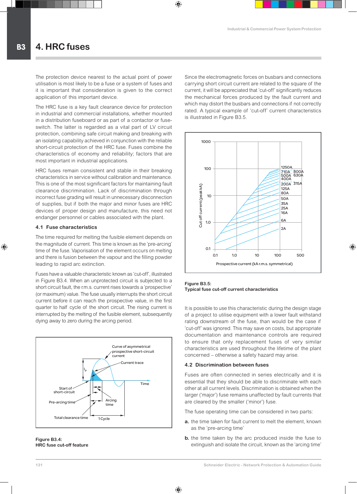The protection device nearest to the actual point of power utilisation is most likely to be a fuse or a system of fuses and it is important that consideration is given to the correct application of this important device.

The HRC fuse is a key fault clearance device for protection in industrial and commercial installations, whether mounted in a distribution fuseboard or as part of a contactor or fuseswitch. The latter is regarded as a vital part of LV circuit protection, combining safe circuit making and breaking with an isolating capability achieved in conjunction with the reliable short-circuit protection of the HRC fuse. Fuses combine the characteristics of economy and reliability; factors that are most important in industrial applications.

HRC fuses remain consistent and stable in their breaking characteristics in service without calibration and maintenance. This is one of the most significant factors for maintaining fault clearance discrimination. Lack of discrimination through incorrect fuse grading will result in unnecessary disconnection of supplies, but if both the major and minor fuses are HRC devices of proper design and manufacture, this need not endanger personnel or cables associated with the plant.

# **4.1 Fuse characteristics**

The time required for melting the fusible element depends on the magnitude of current. This time is known as the 'pre-arcing' time of the fuse. Vaporisation of the element occurs on melting and there is fusion between the vapour and the filling powder leading to rapid arc extinction.

Fuses have a valuable characteristic known as 'cut-off', illustrated in Figure B3.4. When an unprotected circuit is subjected to a short circuit fault, the r.m.s. current rises towards a 'prospective' (or maximum) value. The fuse usually interrupts the short circuit current before it can reach the prospective value, in the first quarter to half cycle of the short circuit. The rising current is interrupted by the melting of the fusible element, subsequently dying away to zero during the arcing period.



**Figure B3.4: HRC fuse cut-off feature** Since the electromagnetic forces on busbars and connections carrying short circuit current are related to the square of the current, it will be appreciated that 'cut-off' significantly reduces the mechanical forces produced by the fault current and which may distort the busbars and connections if not correctly rated. A typical example of 'cut-off' current characteristics is illustrated in Figure B3.5.



**Figure B3.5: Typical fuse cut-off current characteristics**

It is possible to use this characteristic during the design stage of a project to utilise equipment with a lower fault withstand rating downstream of the fuse, than would be the case if 'cut-off' was ignored. This may save on costs, but appropriate documentation and maintenance controls are required to ensure that only replacement fuses of very similar characteristics are used throughout the lifetime of the plant concerned – otherwise a safety hazard may arise.

# **4.2 Discrimination between fuses**

Fuses are often connected in series electrically and it is essential that they should be able to discriminate with each other at all current levels. Discrimination is obtained when the larger ('major') fuse remains unaffected by fault currents that are cleared by the smaller ('minor') fuse.

The fuse operating time can be considered in two parts:

- **a.** the time taken for fault current to melt the element, known as the 'pre-arcing time'
- **b.** the time taken by the arc produced inside the fuse to extinguish and isolate the circuit, known as the 'arcing time'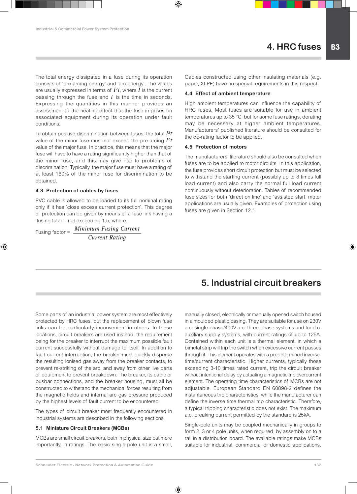The total energy dissipated in a fuse during its operation consists of 'pre-arcing energy' and 'arc energy'. The values are usually expressed in terms of  $I^2t$ , where  $I$  is the current passing through the fuse and *t* is the time in seconds. Expressing the quantities in this manner provides an assessment of the heating effect that the fuse imposes on associated equipment during its operation under fault conditions.

To obtain positive discrimination between fuses, the total *I2t*  value of the minor fuse must not exceed the pre-arcing *I2t*  value of the major fuse. In practice, this means that the major fuse will have to have a rating significantly higher than that of the minor fuse, and this may give rise to problems of discrimination. Typically, the major fuse must have a rating of at least 160% of the minor fuse for discrimination to be obtained.

# **4.3 Protection of cables by fuses**

PVC cable is allowed to be loaded to its full nominal rating only if it has 'close excess current protection'. This degree of protection can be given by means of a fuse link having a 'fusing factor' not exceeding 1.5, where:

Fusing factor = *Minimum Fusing Current Current Rating*

Cables constructed using other insulating materials (e.g. paper, XLPE) have no special requirements in this respect.

# **4.4 Effect of ambient temperature**

High ambient temperatures can influence the capability of HRC fuses. Most fuses are suitable for use in ambient temperatures up to 35 °C, but for some fuse ratings, derating may be necessary at higher ambient temperatures. Manufacturers' published literature should be consulted for the de-rating factor to be applied.

# **4.5 Protection of motors**

The manufacturers' literature should also be consulted when fuses are to be applied to motor circuits. In this application, the fuse provides short circuit protection but must be selected to withstand the starting current (possibly up to 8 times full load current) and also carry the normal full load current continuously without deterioration. Tables of recommended fuse sizes for both 'direct on line' and 'assisted start' motor applications are usually given. Examples of protection using fuses are given in Section 12.1.

# **5. Industrial circuit breakers**

Some parts of an industrial power system are most effectively protected by HRC fuses, but the replacement of blown fuse links can be particularly inconvenient in others. In these locations, circuit breakers are used instead, the requirement being for the breaker to interrupt the maximum possible fault current successfully without damage to itself. In addition to fault current interruption, the breaker must quickly disperse the resulting ionised gas away from the breaker contacts, to prevent re-striking of the arc, and away from other live parts of equipment to prevent breakdown. The breaker, its cable or busbar connections, and the breaker housing, must all be constructed to withstand the mechanical forces resulting from the magnetic fields and internal arc gas pressure produced by the highest levels of fault current to be encountered.

The types of circuit breaker most frequently encountered in industrial systems are described in the following sections.

# **5.1 Miniature Circuit Breakers (MCBs)**

MCBs are small circuit breakers, both in physical size but more importantly, in ratings. The basic single pole unit is a small, manually closed, electrically or manually opened switch housed in a moulded plastic casing. They are suitable for use on 230V a.c. single-phase/400V a.c. three-phase systems and for d.c. auxiliary supply systems, with current ratings of up to 125A. Contained within each unit is a thermal element, in which a bimetal strip will trip the switch when excessive current passes through it. This element operates with a predetermined inversetime/current characteristic. Higher currents, typically those exceeding 3-10 times rated current, trip the circuit breaker without intentional delay by actuating a magnetic trip overcurrent element. The operating time characteristics of MCBs are not adjustable. European Standard EN 60898-2 defines the instantaneous trip characteristics, while the manufacturer can define the inverse time thermal trip characteristic. Therefore, a typical tripping characteristic does not exist. The maximum a.c. breaking current permitted by the standard is 25kA.

Single-pole units may be coupled mechanically in groups to form 2, 3 or 4 pole units, when required, by assembly on to a rail in a distribution board. The available ratings make MCBs suitable for industrial, commercial or domestic applications,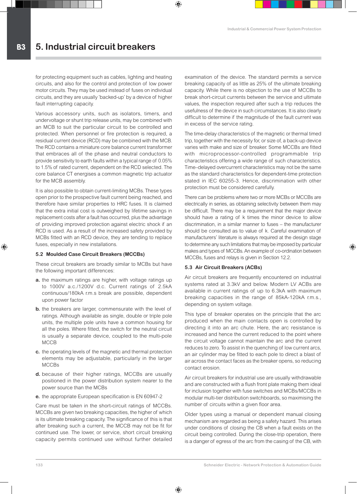for protecting equipment such as cables, lighting and heating circuits, and also for the control and protection of low power motor circuits. They may be used instead of fuses on individual circuits, and they are usually 'backed-up' by a device of higher fault interrupting capacity.

Various accessory units, such as isolators, timers, and undervoltage or shunt trip release units, may be combined with an MCB to suit the particular circuit to be controlled and protected. When personnel or fire protection is required, a residual current device (RCD) may be combined with the MCB. The RCD contains a miniature core balance current transformer that embraces all of the phase and neutral conductors to provide sensitivity to earth faults within a typical range of 0.05% to 1.5% of rated current, dependent on the RCD selected. The core balance CT energises a common magnetic trip actuator for the MCB assembly.

It is also possible to obtain current-limiting MCBs. These types open prior to the prospective fault current being reached, and therefore have similar properties to HRC fuses. It is claimed that the extra initial cost is outweighed by lifetime savings in replacement costs after a fault has occurred, plus the advantage of providing improved protection against electric shock if an RCD is used. As a result of the increased safety provided by MCBs fitted with an RCD device, they are tending to replace fuses, especially in new installations.

# **5.2 Moulded Case Circuit Breakers (MCCBs)**

These circuit breakers are broadly similar to MCBs but have the following important differences:

- **a.** the maximum ratings are higher, with voltage ratings up to 1000V a.c./1200V d.c. Current ratings of 2.5kA continuous/180kA r.m.s break are possible, dependent upon power factor
- **b.** the breakers are larger, commensurate with the level of ratings. Although available as single, double or triple pole units, the multiple pole units have a common housing for all the poles. Where fitted, the switch for the neutral circuit is usually a separate device, coupled to the multi-pole **MCCB**
- **c.** the operating levels of the magnetic and thermal protection elements may be adjustable, particularly in the larger **MCCBs**
- **d.** because of their higher ratings, MCCBs are usually positioned in the power distribution system nearer to the power source than the MCBs
- **e.** the appropriate European specification is EN 60947-2

Care must be taken in the short-circuit ratings of MCCBs. MCCBs are given two breaking capacities, the higher of which is its ultimate breaking capacity. The significance of this is that after breaking such a current, the MCCB may not be fit for continued use. The lower, or service, short circuit breaking capacity permits continued use without further detailed examination of the device. The standard permits a service breaking capacity of as little as 25% of the ultimate breaking capacity. While there is no objection to the use of MCCBs to break short-circuit currents between the service and ultimate values, the inspection required after such a trip reduces the usefulness of the device in such circumstances. It is also clearly difficult to determine if the magnitude of the fault current was in excess of the service rating.

The time-delay characteristics of the magnetic or thermal timed trip, together with the necessity for, or size of, a back-up device varies with make and size of breaker. Some MCCBs are fitted with microprocessor-controlled programmable trip characteristics offering a wide range of such characteristics. Time–delayed overcurrent characteristics may not be the same as the standard characteristics for dependent-time protection stated in IEC 60255-3. Hence, discrimination with other protection must be considered carefully.

There can be problems where two or more MCBs or MCCBs are electrically in series, as obtaining selectivity between them may be difficult. There may be a requirement that the major device should have a rating of k times the minor device to allow discrimination, in a similar manner to fuses – the manufacturer should be consulted as to value of k. Careful examination of manufacturers' literature is always required at the design stage to determine any such limitations that may be imposed by particular makes and types of MCCBs. An example of co-ordination between MCCBs, fuses and relays is given in Section 12.2.

# **5.3 Air Circuit Breakers (ACBs)**

Air circuit breakers are frequently encountered on industrial systems rated at 3.3kV and below. Modern LV ACBs are available in current ratings of up to 6.3kA with maximum breaking capacities in the range of 85kA-120kA r.m.s., depending on system voltage.

This type of breaker operates on the principle that the arc produced when the main contacts open is controlled by directing it into an arc chute. Here, the arc resistance is increased and hence the current reduced to the point where the circuit voltage cannot maintain the arc and the current reduces to zero. To assist in the quenching of low current arcs, an air cylinder may be fitted to each pole to direct a blast of air across the contact faces as the breaker opens, so reducing contact erosion.

Air circuit breakers for industrial use are usually withdrawable and are constructed with a flush front plate making them ideal for inclusion together with fuse switches and MCBs/MCCBs in modular multi-tier distribution switchboards, so maximising the number of circuits within a given floor area.

Older types using a manual or dependent manual closing mechanism are regarded as being a safety hazard. This arises under conditions of closing the CB when a fault exists on the circuit being controlled. During the close-trip operation, there is a danger of egress of the arc from the casing of the CB, with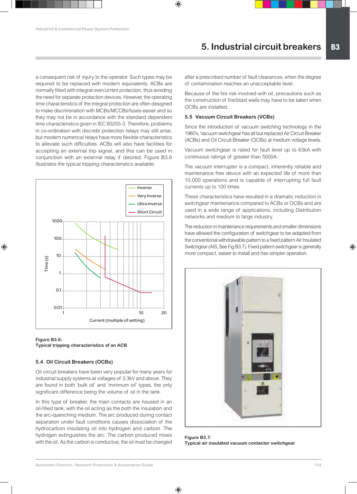a consequent risk of injury to the operator. Such types may be required to be replaced with modern equivalents. ACBs are normally fitted with integral overcurrent protection, thus avoiding the need for separate protection devices. However, the operating time characteristics of the integral protection are often designed to make discrimination with MCBs/MCCBs/fuses easier and so they may not be in accordance with the standard dependent time characteristics given in IEC 60255-3. Therefore, problems in co-ordination with discrete protection relays may still arise, but modern numerical relays have more flexible characteristics to alleviate such difficulties. ACBs will also have facilities for accepting an external trip signal, and this can be used in conjunction with an external relay if desired. Figure B3.6 illustrates the typical tripping characteristics available.





# **5.4 Oil Circuit Breakers (OCBs)**

Oil circuit breakers have been very popular for many years for industrial supply systems at voltages of 3.3kV and above. They are found in both 'bulk oil' and 'minimum oil' types, the only significant difference being the volume of oil in the tank.

In this type of breaker, the main contacts are housed in an oil-filled tank, with the oil acting as the both the insulation and the arc-quenching medium. The arc produced during contact separation under fault conditions causes dissociation of the hydrocarbon insulating oil into hydrogen and carbon. The hydrogen extinguishes the arc. The carbon produced mixes with the oil. As the carbon is conductive, the oil must be changed after a prescribed number of fault clearances, when the degree of contamination reaches an unacceptable level.

Because of the fire risk involved with oil, precautions such as the construction of fire/blast walls may have to be taken when OCBs are installed.

# **5.5 Vacuum Circuit Breakers (VCBs)**

Since the introduction of vacuum switching technology in the 1960's, Vacuum switchgear has all but replaced Air Circuit Breaker (ACBs) and Oil Circuit Breaker (OCBs) at medium voltage levels.

Vacuum switchgear is rated for fault level up to 63kA with continuous ratings of greater than 5000A.

The vacuum interrupter is a compact, inherently reliable and maintenance free device with an expected life of more than 10,000 operations and is capable of interrupting full fault currents up to 100 times.

These characteristics have resulted in a dramatic reduction in switchgear maintenance compared to ACBs or OCBs and are used in a wide range of applications, including Distribution networks and medium to large industry.

The reduction in maintenance requirements and smaller dimensions have allowed the configuration of switchgear to be adapted from the conventional withdrawable pattern to a fixed pattern Air Insulated Switchgear (AIS, See Fig B3.7). Fixed pattern switchgear is generally more compact, easier to install and has simpler operation.



**Figure B3.7: Typical air insulated vacuum contactor switchgear**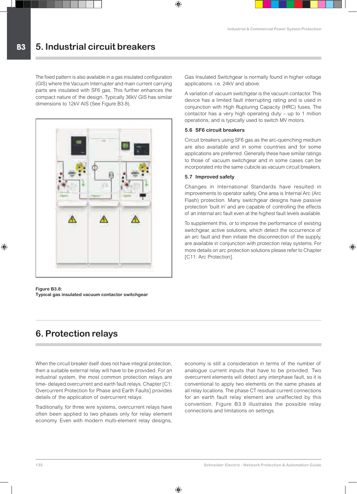The fixed pattern is also available in a gas insulated configuration (GIS) where the Vacuum Interrupter and main current carrying parts are insulated with SF6 gas. This further enhances the compact nature of the design. Typically 36kV GIS has similar dimensions to 12kV AIS (See Figure B3.8).



**Figure B3.8: Typical gas insulated vacuum contactor switchgear**

# **6. Protection relays**

When the circuit breaker itself does not have integral protection, then a suitable external relay will have to be provided. For an industrial system, the most common protection relays are time- delayed overcurrent and earth fault relays. Chapter [C1: Overcurrent Protection for Phase and Earth Faults] provides details of the application of overcurrent relays.

Traditionally, for three wire systems, overcurrent relays have often been applied to two phases only for relay element economy. Even with modern multi-element relay designs, Gas Insulated Switchgear is normally found in higher voltage applications. i.e. 24kV and above.

A variation of vacuum switchgear is the vacuum contactor. This device has a limited fault interrupting rating and is used in conjunction with High Rupturing Capacity (HRC) fuses, The contactor has a very high operating duty – up to 1 million operations, and is typically used to switch MV motors.

# **5.6 SF6 circuit breakers**

Circuit breakers using SF6 gas as the arc-quenching medium are also available and in some countries and for some applications are preferred. Generally these have similar ratings to those of vacuum switchgear and in some cases can be incorporated into the same cubicle as vacuum circuit breakers.

# **5.7 Improved safety**

Changes in International Standards have resulted in improvements to operator safety. One area is Internal Arc (Arc Flash) protection. Many switchgear designs have passive protection 'built in' and are capable of controlling the effects of an internal arc fault even at the highest fault levels available.

To supplement this, or to improve the performance of existing switchgear, active solutions, which detect the occurrence of an arc fault and then initiate the disconnection of the supply, are available in conjunction with protection relay systems. For more details on arc protection solutions please refer to Chapter [C11: Arc Protection].

economy is still a consideration in terms of the number of analogue current inputs that have to be provided. Two overcurrent elements will detect any interphase fault, so it is conventional to apply two elements on the same phases at all relay locations. The phase CT residual current connections for an earth fault relay element are unaffected by this convention. Figure B3.9 illustrates the possible relay connections and limitations on settings.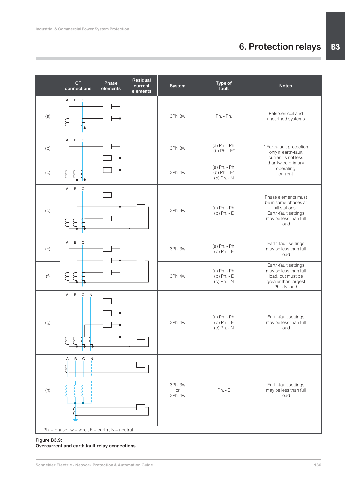|     | <b>CT</b><br>connections                                                              | Phase<br>elements | Residual<br>current<br>elements | System                   | Type of<br>fault                               | <b>Notes</b>                                                                                                          |
|-----|---------------------------------------------------------------------------------------|-------------------|---------------------------------|--------------------------|------------------------------------------------|-----------------------------------------------------------------------------------------------------------------------|
| (a) | $\mathsf{C}$<br>в<br>Α<br>╂                                                           |                   |                                 | 3Ph. 3w                  | Ph. - Ph.                                      | Petersen coil and<br>unearthed systems                                                                                |
| (b) | в<br>¢<br>А                                                                           |                   |                                 | 3Ph. 3w                  | (a) Ph. - Ph.<br>(b) Ph. $-E^*$                | * Earth-fault protection<br>only if earth-fault<br>current is not less                                                |
| (c) |                                                                                       |                   |                                 | 3Ph. 4w                  | (a) Ph. - Ph.<br>(b) Ph. $-E^*$<br>(c) Ph. - N | than twice primary<br>operating<br>current                                                                            |
| (d) | В<br>C<br>Α<br>F<br>F                                                                 |                   |                                 | 3Ph. 3w                  | (a) Ph. - Ph.<br>$(b)$ Ph. - E                 | Phase elements must<br>be in same phases at<br>all stations.<br>Earth-fault settings<br>may be less than full<br>load |
| (e) | B<br>Ç<br>А                                                                           |                   |                                 | 3Ph. 3w                  | (a) Ph. - Ph.<br>(b) Ph. - E                   | Earth-fault settings<br>may be less than full<br>load                                                                 |
| (f) | F<br>F                                                                                |                   |                                 | 3Ph. 4w                  | (a) Ph. - Ph.<br>(b) Ph. - E<br>(c) Ph. - N    | Earth-fault settings<br>may be less than full<br>load, but must be<br>greater than largest<br>Ph. - N load            |
| (g) | $\mathsf{C}$<br>${\sf N}$<br>В<br>Α                                                   |                   |                                 | 3Ph. 4w                  | (a) Ph. - Ph.<br>(b) Ph. - E<br>(c) Ph. - N    | Earth-fault settings<br>may be less than full<br>load                                                                 |
| (h) | Ņ<br>$\mathsf{C}$<br>В<br>Α<br>Ph. = phase ; $w = wire$ ; $E = earth$ ; $N = neutral$ |                   |                                 | 3Ph. 3w<br>or<br>3Ph. 4w | $Ph. - E$                                      | Earth-fault settings<br>may be less than full<br>load                                                                 |

## **Figure B3.9: Overcurrent and earth fault relay connections**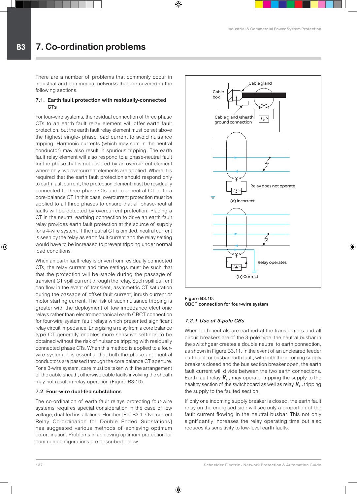There are a number of problems that commonly occur in industrial and commercial networks that are covered in the following sections.

# **7.1. Earth fault protection with residually-connected CTs**

For four-wire systems, the residual connection of three phase CTs to an earth fault relay element will offer earth fault protection, but the earth fault relay element must be set above the highest single- phase load current to avoid nuisance tripping. Harmonic currents (which may sum in the neutral conductor) may also result in spurious tripping. The earth fault relay element will also respond to a phase-neutral fault for the phase that is not covered by an overcurrent element where only two overcurrent elements are applied. Where it is required that the earth fault protection should respond only to earth fault current, the protection element must be residually connected to three phase CTs and to a neutral CT or to a core-balance CT. In this case, overcurrent protection must be applied to all three phases to ensure that all phase-neutral faults will be detected by overcurrent protection. Placing a CT in the neutral earthing connection to drive an earth fault relay provides earth fault protection at the source of supply for a 4-wire system. If the neutral CT is omitted, neutral current is seen by the relay as earth fault current and the relay setting would have to be increased to prevent tripping under normal load conditions.

When an earth fault relay is driven from residually connected CTs, the relay current and time settings must be such that that the protection will be stable during the passage of transient CT spill current through the relay. Such spill current can flow in the event of transient, asymmetric CT saturation during the passage of offset fault current, inrush current or motor starting current. The risk of such nuisance tripping is greater with the deployment of low impedance electronic relays rather than electromechanical earth CBCT connection for four-wire system fault relays which presented significant relay circuit impedance. Energising a relay from a core balance type CT generally enables more sensitive settings to be obtained without the risk of nuisance tripping with residually connected phase CTs. When this method is applied to a fourwire system, it is essential that both the phase and neutral conductors are passed through the core balance CT aperture. For a 3-wire system, care must be taken with the arrangement of the cable sheath, otherwise cable faults involving the sheath may not result in relay operation (Figure B3.10).

# **7.2 Four-wire dual-fed substations**

The co-ordination of earth fault relays protecting four-wire systems requires special consideration in the case of low voltage, dual-fed installations. Horcher [Ref B3.1: Overcurrent Relay Co-ordination for Double Ended Substations] has suggested various methods of achieving optimum co-ordination. Problems in achieving optimum protection for common configurations are described below.



# **Figure B3.10: CBCT connection for four-wire system**

# **7.2.1 Use of 3-pole CBs**

When both neutrals are earthed at the transformers and all circuit breakers are of the 3-pole type, the neutral busbar in the switchgear creates a double neutral to earth connection, as shown in Figure B3.11. In the event of an uncleared feeder earth fault or busbar earth fault, with both the incoming supply breakers closed and the bus section breaker open, the earth fault current will divide between the two earth connections. Earth fault relay  $R_{F2}$  may operate, tripping the supply to the healthy section of the switchboard as well as relay  $R_{E1}$  tripping the supply to the faulted section.

If only one incoming supply breaker is closed, the earth fault relay on the energised side will see only a proportion of the fault current flowing in the neutral busbar. This not only significantly increases the relay operating time but also reduces its sensitivity to low-level earth faults.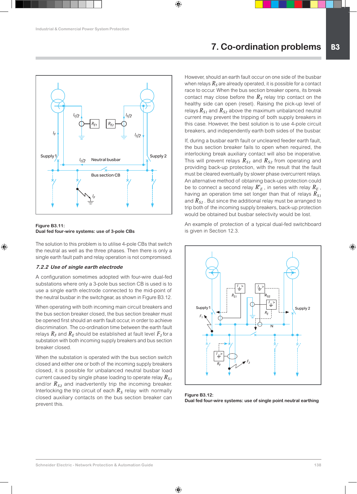

**Figure B3.11: Dual fed four-wire systems: use of 3-pole CBs**

The solution to this problem is to utilise 4-pole CBs that switch the neutral as well as the three phases. Then there is only a single earth fault path and relay operation is not compromised.

# **7.2.2 Use of single earth electrode**

A configuration sometimes adopted with four-wire dual-fed substations where only a 3-pole bus section CB is used is to use a single earth electrode connected to the mid-point of the neutral busbar in the switchgear, as shown in Figure B3.12.

When operating with both incoming main circuit breakers and the bus section breaker closed, the bus section breaker must be opened first should an earth fault occur, in order to achieve discrimination. The co-ordination time between the earth fault relays  $R_F$  and  $R_E$  should be established at fault level  $F_2$  for a substation with both incoming supply breakers and bus section breaker closed.

When the substation is operated with the bus section switch closed and either one or both of the incoming supply breakers closed, it is possible for unbalanced neutral busbar load current caused by single phase loading to operate relay  $R_{S1}$ and/or  $R_{S2}$  and inadvertently trip the incoming breaker. Interlocking the trip circuit of each  $R<sub>S</sub>$  relay with normally closed auxiliary contacts on the bus section breaker can prevent this.

However, should an earth fault occur on one side of the busbar when relays  $R_s$  are already operated, it is possible for a contact race to occur. When the bus section breaker opens, its break contact may close before the  $R<sub>S</sub>$  relay trip contact on the healthy side can open (reset). Raising the pick-up level of relays  $R_{S1}$  and  $R_{S2}$  above the maximum unbalanced neutral current may prevent the tripping of both supply breakers in this case. However, the best solution is to use 4-pole circuit breakers, and independently earth both sides of the busbar.

If, during a busbar earth fault or uncleared feeder earth fault, the bus section breaker fails to open when required, the interlocking break auxiliary contact will also be inoperative. This will prevent relays  $R_{S1}$  and  $R_{S2}$  from operating and providing back-up protection, with the result that the fault must be cleared eventually by slower phase overcurrent relays. An alternative method of obtaining back-up protection could be to connect a second relay  $R_E'$ , in series with relay  $R_E$ , having an operation time set longer than that of relays  $R_{S1}$ and  $R_{S2}$ . But since the additional relay must be arranged to trip both of the incoming supply breakers, back-up protection would be obtained but busbar selectivity would be lost.

An example of protection of a typical dual-fed switchboard is given in Section 12.3.



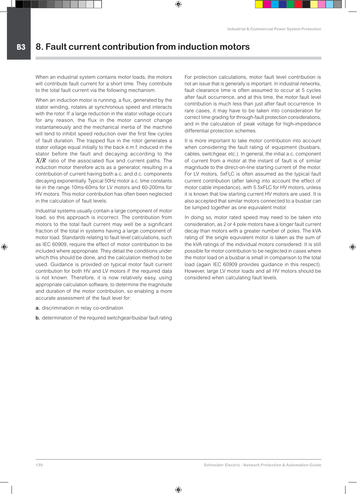When an industrial system contains motor loads, the motors will contribute fault current for a short time. They contribute to the total fault current via the following mechanism.

When an induction motor is running, a flux, generated by the stator winding, rotates at synchronous speed and interacts with the rotor. If a large reduction in the stator voltage occurs for any reason, the flux in the motor cannot change instantaneously and the mechanical inertia of the machine will tend to inhibit speed reduction over the first few cycles of fault duration. The trapped flux in the rotor generates a stator voltage equal initially to the back e.m.f. induced in the stator before the fault and decaying according to the *X/R* ratio of the associated flux and current paths. The induction motor therefore acts as a generator, resulting in a contribution of current having both a.c. and d.c. components decaying exponentially. Typical 50Hz motor a.c. time constants lie in the range 10ms-60ms for LV motors and 60-200ms for HV motors. This motor contribution has often been neglected in the calculation of fault levels.

Industrial systems usually contain a large component of motor load, so this approach is incorrect. The contribution from motors to the total fault current may well be a significant fraction of the total in systems having a large component of motor load. Standards relating to fault level calculations, such as IEC 60909, require the effect of motor contribution to be included where appropriate. They detail the conditions under which this should be done, and the calculation method to be used. Guidance is provided on typical motor fault current contribution for both HV and LV motors if the required data is not known. Therefore, it is now relatively easy, using appropriate calculation software, to determine the magnitude and duration of the motor contribution, so enabling a more accurate assessment of the fault level for:

- **a.** discrimination in relay co-ordination
- **b.** determination of the required switchgear/busbar fault rating

For protection calculations, motor fault level contribution is not an issue that is generally is important. In industrial networks, fault clearance time is often assumed to occur at 5 cycles after fault occurrence, and at this time, the motor fault level contribution is much less than just after fault occurrence. In rare cases, it may have to be taken into consideration for correct time grading for through-fault protection considerations, and in the calculation of peak voltage for high-impedance differential protection schemes.

It is more important to take motor contribution into account when considering the fault rating of equipment (busbars, cables, switchgear, etc.). In general, the initial a.c. component of current from a motor at the instant of fault is of similar magnitude to the direct-on-line starting current of the motor. For LV motors, 5xFLC is often assumed as the typical fault current contribution (after taking into account the effect of motor cable impedance), with 5.5xFLC for HV motors, unless it is known that low starting current HV motors are used. It is also accepted that similar motors connected to a busbar can be lumped together as one equivalent motor.

In doing so, motor rated speed may need to be taken into consideration, as 2 or 4 pole motors have a longer fault current decay than motors with a greater number of poles. The kVA rating of the single equivalent motor is taken as the sum of the kVA ratings of the individual motors considered. It is still possible for motor contribution to be neglected in cases where the motor load on a busbar is small in comparison to the total load (again IEC 60909 provides guidance in this respect). However, large LV motor loads and all HV motors should be considered when calculating fault levels.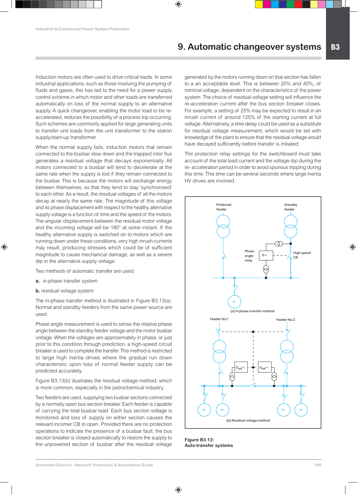Induction motors are often used to drive critical loads. In some industrial applications, such as those involving the pumping of fluids and gases, this has led to the need for a power supply control scheme in which motor and other loads are transferred automatically on loss of the normal supply to an alternative supply. A quick changeover, enabling the motor load to be reaccelerated, reduces the possibility of a process trip occurring. Such schemes are commonly applied for large generating units to transfer unit loads from the unit transformer to the station supply/start-up transformer.

When the normal supply fails, induction motors that remain connected to the busbar slow down and the trapped rotor flux generates a residual voltage that decays exponentially. All motors connected to a busbar will tend to decelerate at the same rate when the supply is lost if they remain connected to the busbar. This is because the motors will exchange energy between themselves, so that they tend to stay 'synchronised' to each other. As a result, the residual voltages of all the motors decay at nearly the same rate. The magnitude of this voltage and its phase displacement with respect to the healthy alternative supply voltage is a function of time and the speed of the motors. The angular displacement between the residual motor voltage and the incoming voltage will be 180° at some instant. If the healthy alternative supply is switched on to motors which are running down under these conditions, very high inrush currents may result, producing stresses which could be of sufficient magnitude to cause mechanical damage, as well as a severe dip in the alternative supply voltage.

Two methods of automatic transfer are used:

- **a.** in-phase transfer system
- **b.** residual voltage system

The in-phase transfer method is illustrated in Figure B3.13(a). Normal and standby feeders from the same power source are used.

Phase angle measurement is used to sense the relative phase angle between the standby feeder voltage and the motor busbar voltage. When the voltages are approximately in phase, or just prior to this condition through prediction, a high-speed circuit breaker is used to complete the transfer. This method is restricted to large high inertia drives where the gradual run down characteristic upon loss of normal feeder supply can be predicted accurately.

Figure B3.13(b) illustrates the residual voltage method, which is more common, especially in the petrochemical industry.

Two feeders are used, supplying two busbar sections connected by a normally open bus section breaker. Each feeder is capable of carrying the total busbar load. Each bus section voltage is monitored and loss of supply on either section causes the relevant incomer CB to open. Provided there are no protection operations to indicate the presence of a busbar fault, the bus section breaker is closed automatically to restore the supply to the unpowered section of busbar after the residual voltage

generated by the motors running down on that section has fallen to a an acceptable level. This is between 25% and 40%, of nominal voltage, dependent on the characteristics of the power system. The choice of residual voltage setting will influence the re-acceleration current after the bus section breaker closes. For example, a setting of 25% may be expected to result in an inrush current of around 125% of the starting current at full voltage. Alternatively, a time delay could be used as a substitute for residual voltage measurement, which would be set with knowledge of the plant to ensure that the residual voltage would have decayed sufficiently before transfer is initiated.

The protection relay settings for the switchboard must take account of the total load current and the voltage dip during the re- acceleration period in order to avoid spurious tripping during this time. This time can be several seconds where large inertia HV drives are involved.



**Figure B3.13: Auto-transfer systems**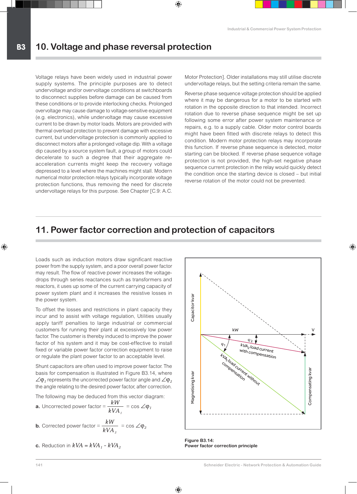Voltage relays have been widely used in industrial power supply systems. The principle purposes are to detect undervoltage and/or overvoltage conditions at switchboards to disconnect supplies before damage can be caused from these conditions or to provide interlocking checks. Prolonged overvoltage may cause damage to voltage-sensitive equipment (e.g. electronics), while undervoltage may cause excessive current to be drawn by motor loads. Motors are provided with thermal overload protection to prevent damage with excessive current, but undervoltage protection is commonly applied to disconnect motors after a prolonged voltage dip. With a voltage dip caused by a source system fault, a group of motors could decelerate to such a degree that their aggregate reacceleration currents might keep the recovery voltage depressed to a level where the machines might stall. Modern numerical motor protection relays typically incorporate voltage protection functions, thus removing the need for discrete undervoltage relays for this purpose. See Chapter [C.9: A.C.

Motor Protection]. Older installations may still utilise discrete undervoltage relays, but the setting criteria remain the same.

Reverse phase sequence voltage protection should be applied where it may be dangerous for a motor to be started with rotation in the opposite direction to that intended. Incorrect rotation due to reverse phase sequence might be set up following some error after power system maintenance or repairs, e.g. to a supply cable. Older motor control boards might have been fitted with discrete relays to detect this condition. Modern motor protection relays may incorporate this function. If reverse phase sequence is detected, motor starting can be blocked. If reverse phase sequence voltage protection is not provided, the high-set negative phase sequence current protection in the relay would quickly detect the condition once the starting device is closed – but initial reverse rotation of the motor could not be prevented.

# **11. Power factor correction and protection of capacitors**

Loads such as induction motors draw significant reactive power from the supply system, and a poor overall power factor may result. The flow of reactive power increases the voltagedrops through series reactances such as transformers and reactors, it uses up some of the current carrying capacity of power system plant and it increases the resistive losses in the power system.

To offset the losses and restrictions in plant capacity they incur and to assist with voltage regulation, Utilities usually apply tariff penalties to large industrial or commercial customers for running their plant at excessively low power factor. The customer is thereby induced to improve the power factor of his system and it may be cost-effective to install fixed or variable power factor correction equipment to raise or regulate the plant power factor to an acceptable level.

Shunt capacitors are often used to improve power factor. The basis for compensation is illustrated in Figure B3.14, where  $\angle \phi_1$  represents the uncorrected power factor angle and  $\angle \phi_2$ the angle relating to the desired power factor, after correction.

The following may be deduced from this vector diagram:

**a.** Uncorrected power factor = 
$$
\frac{kW}{kVA_{I}} = \cos \angle \varphi_{I}
$$

**b.** Corrected power factor = 
$$
\frac{kW}{kVA_2}
$$
 = cos  $\angle \varphi_2$ 

**c.** Reduction in 
$$
kVA = kVA_1 - kVA_2
$$



**Figure B3.14: Power factor correction principle**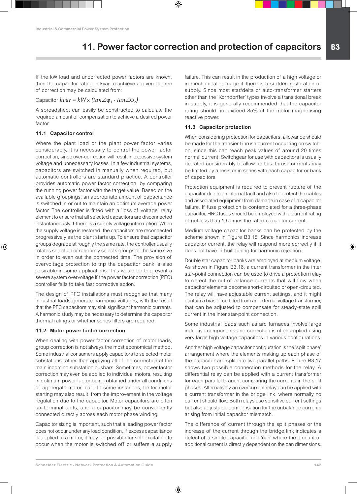If the kW load and uncorrected power factors are known, then the capacitor rating in kvar to achieve a given degree of correction may be calculated from:

# Capacitor  $kvar = kW \times (tan \angle \varphi_1 - tan \angle \varphi_2)$

A spreadsheet can easily be constructed to calculate the required amount of compensation to achieve a desired power factor.

# **11.1 Capacitor control**

Where the plant load or the plant power factor varies considerably, it is necessary to control the power factor correction, since over-correction will result in excessive system voltage and unnecessary losses. In a few industrial systems, capacitors are switched in manually when required, but automatic controllers are standard practice. A controller provides automatic power factor correction, by comparing the running power factor with the target value. Based on the available groupings, an appropriate amount of capacitance is switched in or out to maintain an optimum average power factor. The controller is fitted with a 'loss of voltage' relay element to ensure that all selected capacitors are disconnected instantaneously if there is a supply voltage interruption. When the supply voltage is restored, the capacitors are reconnected progressively as the plant starts up. To ensure that capacitor groups degrade at roughly the same rate, the controller usually rotates selection or randomly selects groups of the same size in order to even out the connected time. The provision of overvoltage protection to trip the capacitor bank is also desirable in some applications. This would be to prevent a severe system overvoltage if the power factor correction (PFC) controller fails to take fast corrective action.

The design of PFC installations must recognise that many industrial loads generate harmonic voltages, with the result that the PFC capacitors may sink significant harmonic currents. A harmonic study may be necessary to determine the capacitor thermal ratings or whether series filters are required.

# **11.2 Motor power factor correction**

When dealing with power factor correction of motor loads, group correction is not always the most economical method. Some industrial consumers apply capacitors to selected motor substations rather than applying all of the correction at the main incoming substation busbars. Sometimes, power factor correction may even be applied to individual motors, resulting in optimum power factor being obtained under all conditions of aggregate motor load. In some instances, better motor starting may also result, from the improvement in the voltage regulation due to the capacitor. Motor capacitors are often six-terminal units, and a capacitor may be conveniently connected directly across each motor phase winding.

Capacitor sizing is important, such that a leading power factor does not occur under any load condition. If excess capacitance is applied to a motor, it may be possible for self-excitation to occur when the motor is switched off or suffers a supply failure. This can result in the production of a high voltage or in mechanical damage if there is a sudden restoration of supply. Since most star/delta or auto-transformer starters other than the 'Korndorffer' types involve a transitional break in supply, it is generally recommended that the capacitor rating should not exceed 85% of the motor magnetising reactive power.

# **11.3 Capacitor protection**

When considering protection for capacitors, allowance should be made for the transient inrush current occurring on switchon, since this can reach peak values of around 20 times normal current. Switchgear for use with capacitors is usually de-rated considerably to allow for this. Inrush currents may be limited by a resistor in series with each capacitor or bank of capacitors.

Protection equipment is required to prevent rupture of the capacitor due to an internal fault and also to protect the cables and associated equipment from damage in case of a capacitor failure. If fuse protection is contemplated for a three-phase capacitor, HRC fuses should be employed with a current rating of not less than 1.5 times the rated capacitor current.

Medium voltage capacitor banks can be protected by the scheme shown in Figure B3.15. Since harmonics increase capacitor current, the relay will respond more correctly if it does not have in-built tuning for harmonic rejection.

Double star capacitor banks are employed at medium voltage. As shown in Figure B3.16, a current transformer in the inter star-point connection can be used to drive a protection relay to detect the out-of-balance currents that will flow when capacitor elements become short-circuited or open-circuited. The relay will have adjustable current settings, and it might contain a bias circuit, fed from an external voltage transformer, that can be adjusted to compensate for steady-state spill current in the inter star-point connection.

Some industrial loads such as arc furnaces involve large inductive components and correction is often applied using very large high voltage capacitors in various configurations.

Another high voltage capacitor configuration is the 'split phase' arrangement where the elements making up each phase of the capacitor are split into two parallel paths. Figure B3.17 shows two possible connection methods for the relay. A differential relay can be applied with a current transformer for each parallel branch, comparing the currents in the split phases. Alternatively an overcurrent relay can be applied with a current transformer in the bridge link, where normally no current should flow. Both relays use sensitive current settings but also adjustable compensation for the unbalance currents arising from initial capacitor mismatch.

The difference of current through the split phases or the increase of the current through the bridge link indicates a defect of a single capacitor unit 'can' where the amount of additional current is directly dependent on the can dimensions.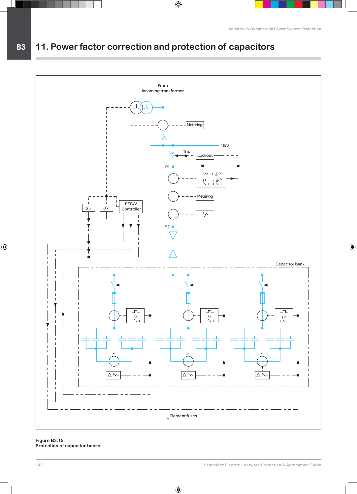### **B3 11. Power factor correction and protection of capacitors**



**Figure B3.15: Protection of capacitor banks**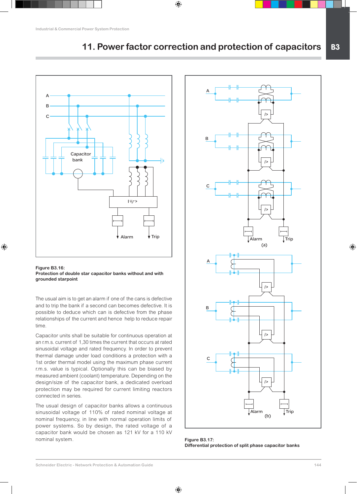



**Figure B3.16: Protection of double star capacitor banks without and with grounded starpoint** 

The usual aim is to get an alarm if one of the cans is defective and to trip the bank if a second can becomes defective. It is possible to deduce which can is defective from the phase relationships of the current and hence help to reduce repair time.

Capacitor units shall be suitable for continuous operation at an r.m.s. current of 1,30 times the current that occurs at rated sinusoidal voltage and rated frequency. In order to prevent thermal damage under load conditions a protection with a 1st order thermal model using the maximum phase current r.m.s. value is typical. Optionally this can be biased by measured ambient (coolant) temperature. Depending on the design/size of the capacitor bank, a dedicated overload protection may be required for current limiting reactors connected in series.

The usual design of capacitor banks allows a continuous sinusoidal voltage of 110% of rated nominal voltage at nominal frequency, in line with normal operation limits of power systems. So by design, the rated voltage of a capacitor bank would be chosen as 121 kV for a 110 kV nominal system.



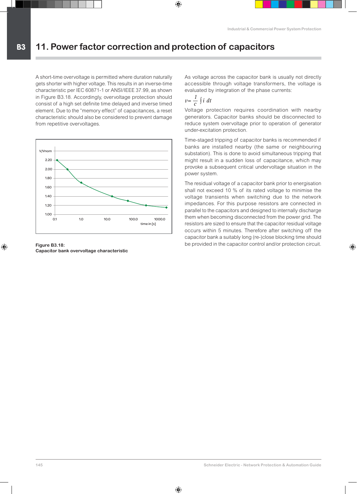### **B3 11. Power factor correction and protection of capacitors**

A short-time overvoltage is permitted where duration naturally gets shorter with higher voltage. This results in an inverse-time characteristic per IEC 60871-1 or ANSI/IEEE 37.99, as shown in Figure B3.18. Accordingly, overvoltage protection should consist of a high set definite time delayed and inverse timed element. Due to the "memory effect" of capacitances, a reset characteristic should also be considered to prevent damage from repetitive overvoltages.



**Figure B3.18: Capacitor bank overvoltage characteristic**

As voltage across the capacitor bank is usually not directly accessible through voltage transformers, the voltage is evaluated by integration of the phase currents:

# *v*= $\frac{1}{c}$  ∫ *i dt*

Voltage protection requires coordination with nearby generators. Capacitor banks should be disconnected to reduce system overvoltage prior to operation of generator under-excitation protection.

Time-staged tripping of capacitor banks is recommended if banks are installed nearby (the same or neighbouring substation). This is done to avoid simultaneous tripping that might result in a sudden loss of capacitance, which may provoke a subsequent critical undervoltage situation in the power system.

The residual voltage of a capacitor bank prior to energisation shall not exceed 10 % of its rated voltage to minimise the voltage transients when switching due to the network impedances. For this purpose resistors are connected in parallel to the capacitors and designed to internally discharge them when becoming disconnected from the power grid. The resistors are sized to ensure that the capacitor residual voltage occurs within 5 minutes. Therefore after switching off the capacitor bank a suitably long (re-)close blocking time should be provided in the capacitor control and/or protection circuit.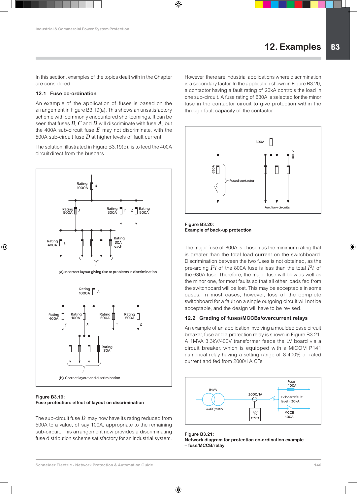In this section, examples of the topics dealt with in the Chapter are considered.

# **12.1 Fuse co-ordination**

An example of the application of fuses is based on the arrangement in Figure B3.19(a). This shows an unsatisfactory scheme with commonly encountered shortcomings. It can be seen that fuses *B*, *C* and *D* will discriminate with fuse *A*, but the 400A sub-circuit fuse *E* may not discriminate, with the 500A sub-circuit fuse *D* at higher levels of fault current.

The solution, illustrated in Figure B3.19(b), is to feed the 400A circuitdirect from the busbars.



### **Figure B3.19: Fuse protection: effect of layout on discrimination**

The sub-circuit fuse *D* may now have its rating reduced from 500A to a value, of say 100A, appropriate to the remaining sub-circuit. This arrangement now provides a discriminating fuse distribution scheme satisfactory for an industrial system.

However, there are industrial applications where discrimination is a secondary factor. In the application shown in Figure B3.20, a contactor having a fault rating of 20kA controls the load in one sub-circuit. A fuse rating of 630A is selected for the minor fuse in the contactor circuit to give protection within the through-fault capacity of the contactor.



**Figure B3.20: Example of back-up protection**

The major fuse of 800A is chosen as the minimum rating that is greater than the total load current on the switchboard. Discrimination between the two fuses is not obtained, as the pre-arcing *I2t* of the 800A fuse is less than the total *I2t* of the 630A fuse. Therefore, the major fuse will blow as well as the minor one, for most faults so that all other loads fed from the switchboard will be lost. This may be acceptable in some cases. In most cases, however, loss of the complete switchboard for a fault on a single outgoing circuit will not be acceptable, and the design will have to be revised.

# **12.2 Grading of fuses/MCCBs/overcurrent relays**

An example of an application involving a moulded case circuit breaker, fuse and a protection relay is shown in Figure B3.21. A 1MVA 3.3kV/400V transformer feeds the LV board via a circuit breaker, which is equipped with a MiCOM P141 numerical relay having a setting range of 8-400% of rated current and fed from 2000/1A CTs.



**Figure B3.21: Network diagram for protection co-ordination example – fuse/MCCB/relay**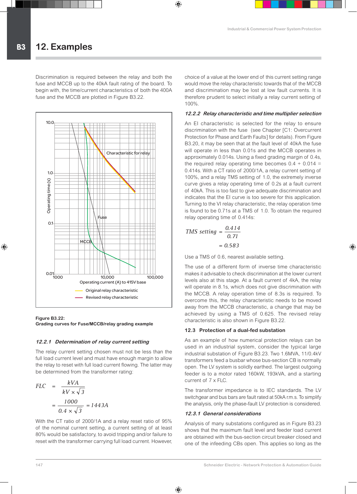Discrimination is required between the relay and both the fuse and MCCB up to the 40kA fault rating of the board. To begin with, the time/current characteristics of both the 400A fuse and the MCCB are plotted in Figure B3.22.



### **Figure B3.22:**

**Grading curves for Fuse/MCCB/relay grading example**

# **12.2.1 Determination of relay current setting**

The relay current setting chosen must not be less than the full load current level and must have enough margin to allow the relay to reset with full load current flowing. The latter may be determined from the transformer rating:

$$
FLC = \frac{kVA}{kV \times \sqrt{3}}
$$

$$
= \frac{1000}{0.4 \times \sqrt{3}} = 1443A
$$

With the CT ratio of 2000/1A and a relay reset ratio of 95% of the nominal current setting, a current setting of at least 80% would be satisfactory, to avoid tripping and/or failure to reset with the transformer carrying full load current. However,

choice of a value at the lower end of this current setting range would move the relay characteristic towards that of the MCCB and discrimination may be lost at low fault currents. It is therefore prudent to select initially a relay current setting of 100%.

### **12.2.2 Relay characteristic and time multiplier selection**

An EI characteristic is selected for the relay to ensure discrimination with the fuse (see Chapter [C1: Overcurrent Protection for Phase and Earth Faults] for details). From Figure B3.20, it may be seen that at the fault level of 40kA the fuse will operate in less than 0.01s and the MCCB operates in approximately 0.014s. Using a fixed grading margin of 0.4s, the required relay operating time becomes  $0.4 + 0.014 =$ 0.414s. With a CT ratio of 2000/1A, a relay current setting of 100%, and a relay TMS setting of 1.0, the extremely inverse curve gives a relay operating time of 0.2s at a fault current of 40kA. This is too fast to give adequate discrimination and indicates that the EI curve is too severe for this application. Turning to the VI relay characteristic, the relay operation time is found to be 0.71s at a TMS of 1.0. To obtain the required relay operating time of 0.414s:

$$
TMS setting = \frac{0.414}{0.71}
$$

$$
= 0.583
$$

Use a TMS of 0.6, nearest available setting.

The use of a different form of inverse time characteristic makes it advisable to check discrimination at the lower current levels also at this stage. At a fault current of 4kA, the relay will operate in 8.1s, which does not give discrimination with the MCCB. A relay operation time of 8.3s is required. To overcome this, the relay characteristic needs to be moved away from the MCCB characteristic, a change that may be achieved by using a TMS of 0.625. The revised relay characteristic is also shown in Figure B3.22.

# **12.3 Protection of a dual-fed substation**

As an example of how numerical protection relays can be used in an industrial system, consider the typical large industrial substation of Figure B3.23. Two 1.6MVA, 11/0.4kV transformers feed a busbar whose bus-section CB is normally open. The LV system is solidly earthed. The largest outgoing feeder is to a motor rated 160kW, 193kVA, and a starting current of 7 x FLC.

The transformer impedance is to IEC standards. The LV switchgear and bus bars are fault rated at 50kA r.m.s. To simplify the analysis, only the phase-fault LV protection is considered.

# **12.3.1 General considerations**

Analysis of many substations configured as in Figure B3.23 shows that the maximum fault level and feeder load current are obtained with the bus-section circuit breaker closed and one of the infeeding CBs open. This applies so long as the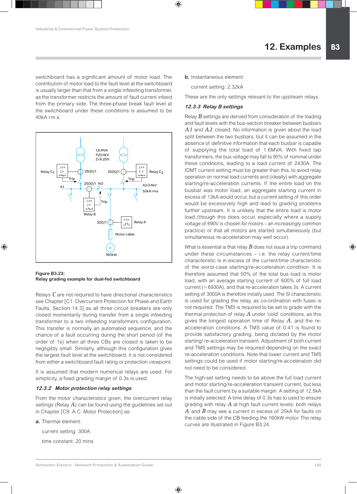switchboard has a significant amount of motor load. The contribution of motor load to the fault level at the switchboard is usually larger than that from a single infeeding transformer, as the transformer restricts the amount of fault current infeed from the primary side. The three-phase break fault level at the switchboard under these conditions is assumed to be 40kA r.m.s.



**Figure B3.23: Relay grading example for dual-fed switchboard**

Relays *C* are not required to have directional characteristics see Chapter [C1: Overcurrent Protection for Phase and Earth Faults, Section 14.3] as all three circuit breakers are only closed momentarily during transfer from a single infeeding transformer to a two infeeding transformers configuration. This transfer is normally an automated sequence, and the chance of a fault occurring during the short period (of the order of 1s) when all three CBs are closed is taken to be negligibly small. Similarly, although this configuration gives the largest fault level at the switchboard, it is not considered from either a switchboard fault rating or protection viewpoint.

It is assumed that modern numerical relays are used. For simplicity, a fixed grading margin of 0.3s is used.

# **12.3.2 Motor protection relay settings**

From the motor characteristics given, the overcurrent relay settings (Relay *A*) can be found using the guidelines set out in Chapter [C9: A.C. Motor Protection] as:

**a.** Thermal element:

current setting: 300A time constant: 20 mins **b.** Instantaneous element:

current setting: 2.32kA

These are the only settings relevant to the upstream relays.

# **12.3.3 Relay B settings**

Relay *B* settings are derived from consideration of the loading and fault levels with the bus-section breaker between busbars *A1* and *A2* closed. No information is given about the load split between the two busbars, but it can be assumed in the absence of definitive information that each busbar is capable of supplying the total load of 1.6MVA. With fixed tap transformers, the bus voltage may fall to 95% of nominal under these conditions, leading to a load current of 2430A. The IDMT current setting must be greater than this, to avoid relay operation on normal load currents and (ideally) with aggregate starting/re-acceleration currents. If the entire load on the busbar was motor load, an aggregate starting current in excess of 13kA would occur, but a current setting of this order would be excessively high and lead to grading problems further upstream. It is unlikely that the entire load is motor load (though this does occur, especially where a supply voltage of 690V is chosen for motors – an increasingly common practice) or that all motors are started simultaneously (but simultaneous re-acceleration may well occur).

What is essential is that relay *B* does not issue a trip command under these circumstances – i.e. the relay current/time characteristic is in excess of the current/time characteristic of the worst-case starting/re-acceleration condition. It is therefore assumed that 50% of the total bus load is motor load, with an average starting current of 600% of full load current (= 6930A), and that re-acceleration takes 3s. A current setting of 3000A is therefore initially used. The SI characteristic is used for grading the relay, as co-ordination with fuses is not required. The TMS is required to be set to grade with the thermal protection of relay  $A$  under 'cold' conditions, as this gives the longest operation time of Relay *A*, and the reacceleration conditions. A TMS value of 0.41 is found to provide satisfactory grading, being dictated by the motor starting/ re-acceleration transient. Adjustment of both current and TMS settings may be required depending on the exact re-acceleration conditions. Note that lower current and TMS settings could be used if motor starting/re-acceleration did not need to be considered.

The high-set setting needs to be above the full load current and motor starting/re-acceleration transient current, but less than the fault current by a suitable margin. A setting of 12.5kA is initially selected. A time delay of 0.3s has to used to ensure grading with relay *A* at high fault current levels; both relays *A* and *B* may see a current in excess of 25kA for faults on the cable side of the CB feeding the 160kW motor. The relay curves are illustrated in Figure B3.24.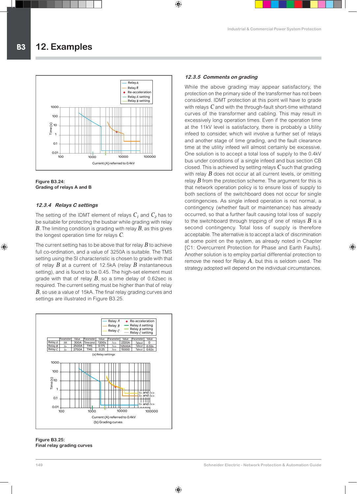



# **12.3.4 Relays C settings**

The setting of the IDMT element of relays  $C_1$  and  $C_2$  has to be suitable for protecting the busbar while grading with relay *B*. The limiting condition is grading with relay *B*, as this gives the longest operation time for relays *C*.

The current setting has to be above that for relay *B* to achieve full co-ordination, and a value of 3250A is suitable. The TMS setting using the SI characteristic is chosen to grade with that of relay *B* at a current of 12.5kA (relay *B* instantaneous setting), and is found to be 0.45. The high-set element must grade with that of relay  $B$ , so a time delay of 0.62sec is required. The current setting must be higher than that of relay *B*, so use a value of 15kA. The final relay grading curves and settings are illustrated in Figure B3.25.



**Figure B3.25: Final relay grading curves**

# **12.3.5 Comments on grading**

While the above grading may appear satisfactory, the protection on the primary side of the transformer has not been considered. IDMT protection at this point will have to grade with relays *C* and with the through-fault short-time withstand curves of the transformer and cabling. This may result in excessively long operation times. Even if the operation time at the 11kV level is satisfactory, there is probably a Utility infeed to consider, which will involve a further set of relays and another stage of time grading, and the fault clearance time at the utility infeed will almost certainly be excessive. One solution is to accept a total loss of supply to the 0.4kV bus under conditions of a single infeed and bus section CB closed. This is achieved by setting relays *C* such that grading with relay *B* does not occur at all current levels, or omitting relay *B* from the protection scheme. The argument for this is that network operation policy is to ensure loss of supply to both sections of the switchboard does not occur for single contingencies. As single infeed operation is not normal, a contingency (whether fault or maintenance) has already occurred, so that a further fault causing total loss of supply to the switchboard through tripping of one of relays *B* is a second contingency. Total loss of supply is therefore acceptable. The alternative is to accept a lack of discrimination at some point on the system, as already noted in Chapter [C1: Overcurrent Protection for Phase and Earth Faults]. Another solution is to employ partial differential protection to remove the need for Relay *A*, but this is seldom used. The strategy adopted will depend on the individual circumstances.